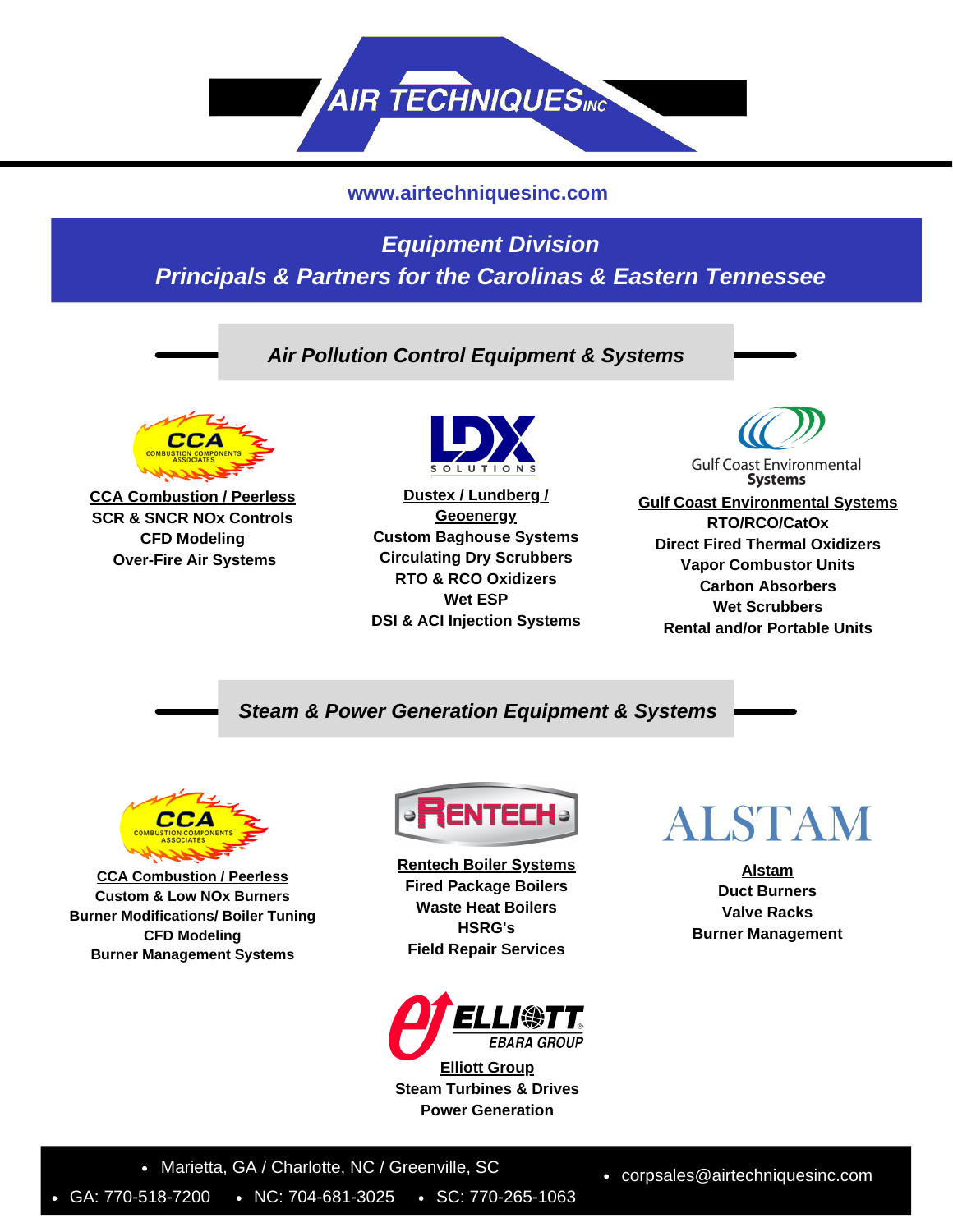

#### **www.airtechniquesinc.com**

## *Equipment Division Principals & Partners for the Carolinas & Eastern Tennessee*

### *Air Pollution Control Equipment & Systems*



**CCA Combustion / Peerless SCR & SNCR NOx Controls CFD Modeling Over-Fire Air Systems**



**Dustex / Lundberg / Geoenergy Custom Baghouse Systems Circulating Dry Scrubbers RTO & RCO Oxidizers Wet ESP DSI & ACI Injection Systems**



**Systems Gulf Coast Environmental Systems**

**RTO/RCO/CatOx Direct Fired Thermal Oxidizers Vapor Combustor Units Carbon Absorbers Wet Scrubbers Rental and/or Portable Units**

#### *Steam & Power Generation Equipment & Systems*



**CCA Combustion / Peerless Custom & Low NOx Burners Burner Modifications/ Boiler Tuning CFD Modeling Burner Management Systems**



**Rentech Boiler Systems Fired Package Boilers Waste Heat Boilers HSRG's Field Repair Services**



**Elliott Group Steam Turbines & Drives Power Generation**



**Alstam Duct Burners Valve Racks Burner Management**

• Marietta, GA / Charlotte, NC / Greenville, SC

GA: 770-518-7200 • NC: 704-681-3025 • SC: 770-265-1063

corpsales@airtechniquesinc.com